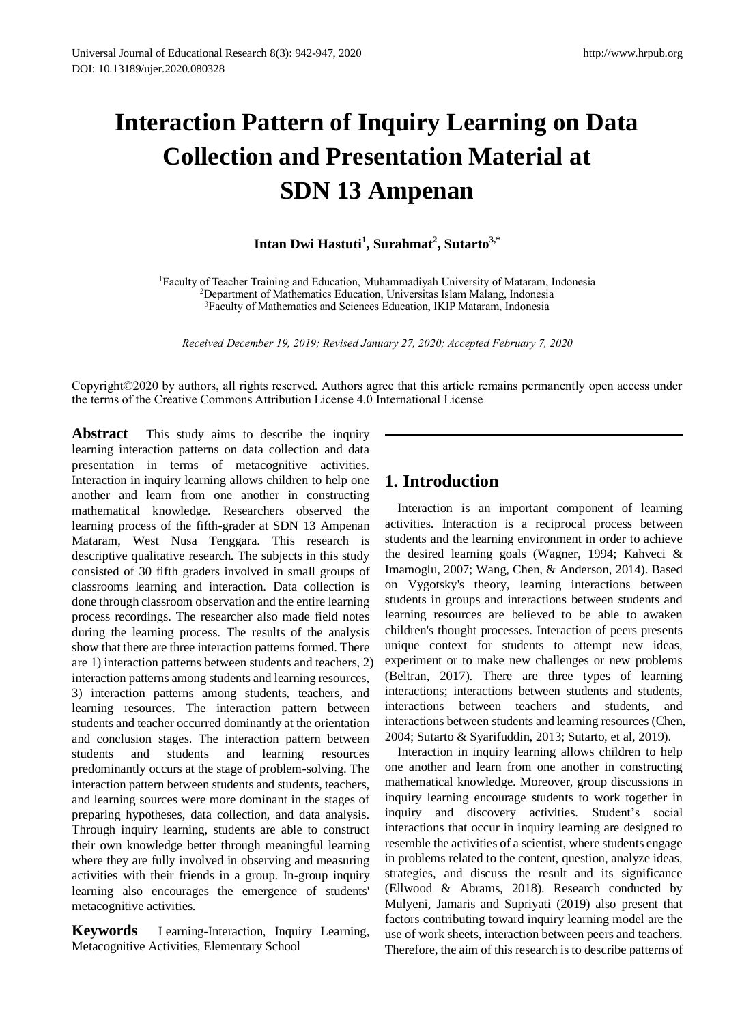# **Interaction Pattern of Inquiry Learning on Data Collection and Presentation Material at SDN 13 Ampenan**

## **Intan Dwi Hastuti<sup>1</sup> , Surahmat<sup>2</sup> , Sutarto3,\***

<sup>1</sup>Faculty of Teacher Training and Education, Muhammadiyah University of Mataram, Indonesia <sup>2</sup>Department of Mathematics Education, Universitas Islam Malang, Indonesia <sup>3</sup>Faculty of Mathematics and Sciences Education, IKIP Mataram, Indonesia

*Received December 19, 2019; Revised January 27, 2020; Accepted February 7, 2020*

Copyright©2020 by authors, all rights reserved. Authors agree that this article remains permanently open access under the terms of the Creative Commons Attribution License 4.0 International License

**Abstract** This study aims to describe the inquiry learning interaction patterns on data collection and data presentation in terms of metacognitive activities. Interaction in inquiry learning allows children to help one another and learn from one another in constructing mathematical knowledge. Researchers observed the learning process of the fifth-grader at SDN 13 Ampenan Mataram, West Nusa Tenggara. This research is descriptive qualitative research. The subjects in this study consisted of 30 fifth graders involved in small groups of classrooms learning and interaction. Data collection is done through classroom observation and the entire learning process recordings. The researcher also made field notes during the learning process. The results of the analysis show that there are three interaction patterns formed. There are 1) interaction patterns between students and teachers, 2) interaction patterns among students and learning resources, 3) interaction patterns among students, teachers, and learning resources. The interaction pattern between students and teacher occurred dominantly at the orientation and conclusion stages. The interaction pattern between students and students and learning resources predominantly occurs at the stage of problem-solving. The interaction pattern between students and students, teachers, and learning sources were more dominant in the stages of preparing hypotheses, data collection, and data analysis. Through inquiry learning, students are able to construct their own knowledge better through meaningful learning where they are fully involved in observing and measuring activities with their friends in a group. In-group inquiry learning also encourages the emergence of students' metacognitive activities.

**Keywords** Learning-Interaction, Inquiry Learning, Metacognitive Activities, Elementary School

# **1. Introduction**

Interaction is an important component of learning activities. Interaction is a reciprocal process between students and the learning environment in order to achieve the desired learning goals (Wagner, 1994; Kahveci & Imamoglu, 2007; Wang, Chen, & Anderson, 2014). Based on Vygotsky's theory, learning interactions between students in groups and interactions between students and learning resources are believed to be able to awaken children's thought processes. Interaction of peers presents unique context for students to attempt new ideas, experiment or to make new challenges or new problems (Beltran, 2017). There are three types of learning interactions; interactions between students and students, interactions between teachers and students, and interactions between students and learning resources (Chen, 2004; Sutarto & Syarifuddin, 2013; Sutarto, et al, 2019).

Interaction in inquiry learning allows children to help one another and learn from one another in constructing mathematical knowledge. Moreover, group discussions in inquiry learning encourage students to work together in inquiry and discovery activities. Student's social interactions that occur in inquiry learning are designed to resemble the activities of a scientist, where students engage in problems related to the content, question, analyze ideas, strategies, and discuss the result and its significance (Ellwood & Abrams, 2018). Research conducted by Mulyeni, Jamaris and Supriyati (2019) also present that factors contributing toward inquiry learning model are the use of work sheets, interaction between peers and teachers. Therefore, the aim of this research is to describe patterns of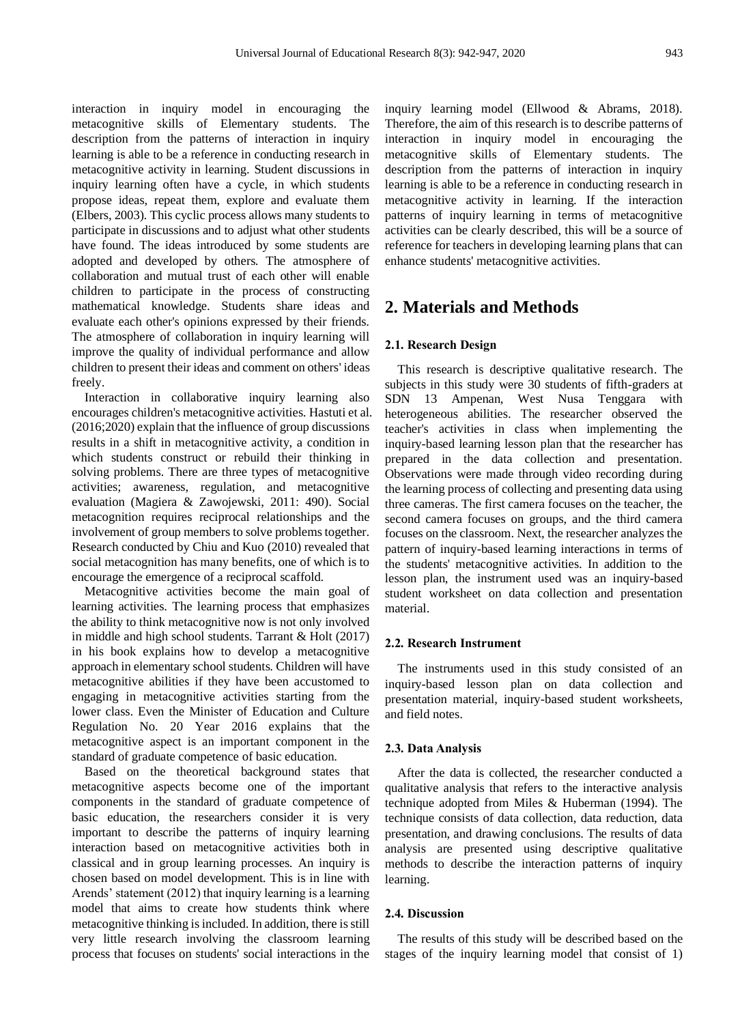interaction in inquiry model in encouraging the metacognitive skills of Elementary students. The description from the patterns of interaction in inquiry learning is able to be a reference in conducting research in metacognitive activity in learning. Student discussions in inquiry learning often have a cycle, in which students propose ideas, repeat them, explore and evaluate them (Elbers, 2003). This cyclic process allows many students to participate in discussions and to adjust what other students have found. The ideas introduced by some students are adopted and developed by others. The atmosphere of collaboration and mutual trust of each other will enable children to participate in the process of constructing mathematical knowledge. Students share ideas and evaluate each other's opinions expressed by their friends. The atmosphere of collaboration in inquiry learning will improve the quality of individual performance and allow children to present their ideas and comment on others' ideas freely.

Interaction in collaborative inquiry learning also encourages children's metacognitive activities. Hastuti et al. (2016;2020) explain that the influence of group discussions results in a shift in metacognitive activity, a condition in which students construct or rebuild their thinking in solving problems. There are three types of metacognitive activities; awareness, regulation, and metacognitive evaluation (Magiera & Zawojewski, 2011: 490). Social metacognition requires reciprocal relationships and the involvement of group members to solve problems together. Research conducted by Chiu and Kuo (2010) revealed that social metacognition has many benefits, one of which is to encourage the emergence of a reciprocal scaffold.

Metacognitive activities become the main goal of learning activities. The learning process that emphasizes the ability to think metacognitive now is not only involved in middle and high school students. Tarrant & Holt (2017) in his book explains how to develop a metacognitive approach in elementary school students. Children will have metacognitive abilities if they have been accustomed to engaging in metacognitive activities starting from the lower class. Even the Minister of Education and Culture Regulation No. 20 Year 2016 explains that the metacognitive aspect is an important component in the standard of graduate competence of basic education.

Based on the theoretical background states that metacognitive aspects become one of the important components in the standard of graduate competence of basic education, the researchers consider it is very important to describe the patterns of inquiry learning interaction based on metacognitive activities both in classical and in group learning processes. An inquiry is chosen based on model development. This is in line with Arends' statement (2012) that inquiry learning is a learning model that aims to create how students think where metacognitive thinking is included. In addition, there is still very little research involving the classroom learning process that focuses on students' social interactions in the

inquiry learning model (Ellwood & Abrams, 2018). Therefore, the aim of this research is to describe patterns of interaction in inquiry model in encouraging the metacognitive skills of Elementary students. The description from the patterns of interaction in inquiry learning is able to be a reference in conducting research in metacognitive activity in learning. If the interaction patterns of inquiry learning in terms of metacognitive activities can be clearly described, this will be a source of reference for teachers in developing learning plans that can enhance students' metacognitive activities.

## **2. Materials and Methods**

#### **2.1. Research Design**

This research is descriptive qualitative research. The subjects in this study were 30 students of fifth-graders at SDN 13 Ampenan, West Nusa Tenggara with heterogeneous abilities. The researcher observed the teacher's activities in class when implementing the inquiry-based learning lesson plan that the researcher has prepared in the data collection and presentation. Observations were made through video recording during the learning process of collecting and presenting data using three cameras. The first camera focuses on the teacher, the second camera focuses on groups, and the third camera focuses on the classroom. Next, the researcher analyzes the pattern of inquiry-based learning interactions in terms of the students' metacognitive activities. In addition to the lesson plan, the instrument used was an inquiry-based student worksheet on data collection and presentation material.

#### **2.2. Research Instrument**

The instruments used in this study consisted of an inquiry-based lesson plan on data collection and presentation material, inquiry-based student worksheets, and field notes.

#### **2.3. Data Analysis**

After the data is collected, the researcher conducted a qualitative analysis that refers to the interactive analysis technique adopted from Miles & Huberman (1994). The technique consists of data collection, data reduction, data presentation, and drawing conclusions. The results of data analysis are presented using descriptive qualitative methods to describe the interaction patterns of inquiry learning.

#### **2.4. Discussion**

The results of this study will be described based on the stages of the inquiry learning model that consist of 1)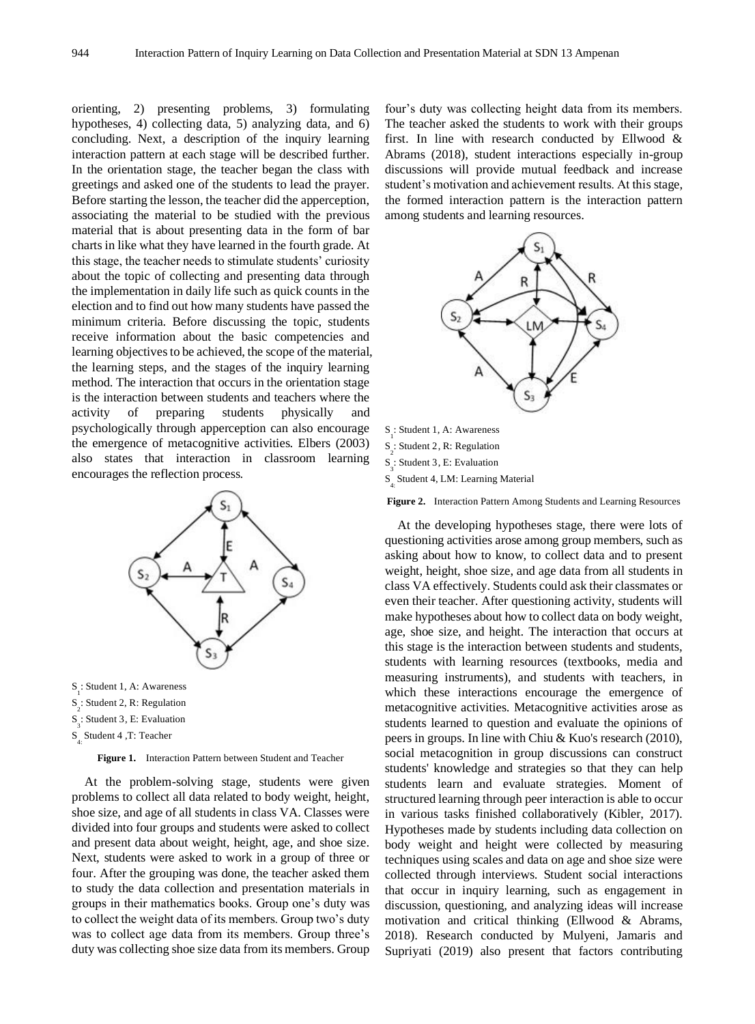orienting, 2) presenting problems, 3) formulating hypotheses, 4) collecting data, 5) analyzing data, and 6) concluding. Next, a description of the inquiry learning interaction pattern at each stage will be described further. In the orientation stage, the teacher began the class with greetings and asked one of the students to lead the prayer. Before starting the lesson, the teacher did the apperception, associating the material to be studied with the previous material that is about presenting data in the form of bar charts in like what they have learned in the fourth grade. At this stage, the teacher needs to stimulate students' curiosity about the topic of collecting and presenting data through the implementation in daily life such as quick counts in the election and to find out how many students have passed the minimum criteria. Before discussing the topic, students receive information about the basic competencies and learning objectives to be achieved, the scope of the material, the learning steps, and the stages of the inquiry learning method. The interaction that occurs in the orientation stage is the interaction between students and teachers where the activity of preparing students physically and psychologically through apperception can also encourage the emergence of metacognitive activities. Elbers (2003) also states that interaction in classroom learning encourages the reflection process.



S 4: Student 4 ,T: Teacher

**Figure 1.** Interaction Pattern between Student and Teacher

At the problem-solving stage, students were given problems to collect all data related to body weight, height, shoe size, and age of all students in class VA. Classes were divided into four groups and students were asked to collect and present data about weight, height, age, and shoe size. Next, students were asked to work in a group of three or four. After the grouping was done, the teacher asked them to study the data collection and presentation materials in groups in their mathematics books. Group one's duty was to collect the weight data of its members. Group two's duty was to collect age data from its members. Group three's duty was collecting shoe size data from its members. Group

four's duty was collecting height data from its members. The teacher asked the students to work with their groups first. In line with research conducted by Ellwood & Abrams (2018), student interactions especially in-group discussions will provide mutual feedback and increase student's motivation and achievement results. At this stage, the formed interaction pattern is the interaction pattern among students and learning resources.



S<sub>2</sub>: Student 2, R: Regulation S 3 : Student 3, E: Evaluation S 4: Student 4, LM: Learning Material

**Figure 2.** Interaction Pattern Among Students and Learning Resources

At the developing hypotheses stage, there were lots of questioning activities arose among group members, such as asking about how to know, to collect data and to present weight, height, shoe size, and age data from all students in class VA effectively. Students could ask their classmates or even their teacher. After questioning activity, students will make hypotheses about how to collect data on body weight, age, shoe size, and height. The interaction that occurs at this stage is the interaction between students and students, students with learning resources (textbooks, media and measuring instruments), and students with teachers, in which these interactions encourage the emergence of metacognitive activities. Metacognitive activities arose as students learned to question and evaluate the opinions of peers in groups. In line with Chiu & Kuo's research (2010), social metacognition in group discussions can construct students' knowledge and strategies so that they can help students learn and evaluate strategies. Moment of structured learning through peer interaction is able to occur in various tasks finished collaboratively (Kibler, 2017). Hypotheses made by students including data collection on body weight and height were collected by measuring techniques using scales and data on age and shoe size were collected through interviews. Student social interactions that occur in inquiry learning, such as engagement in discussion, questioning, and analyzing ideas will increase motivation and critical thinking (Ellwood & Abrams, 2018). Research conducted by Mulyeni, Jamaris and Supriyati (2019) also present that factors contributing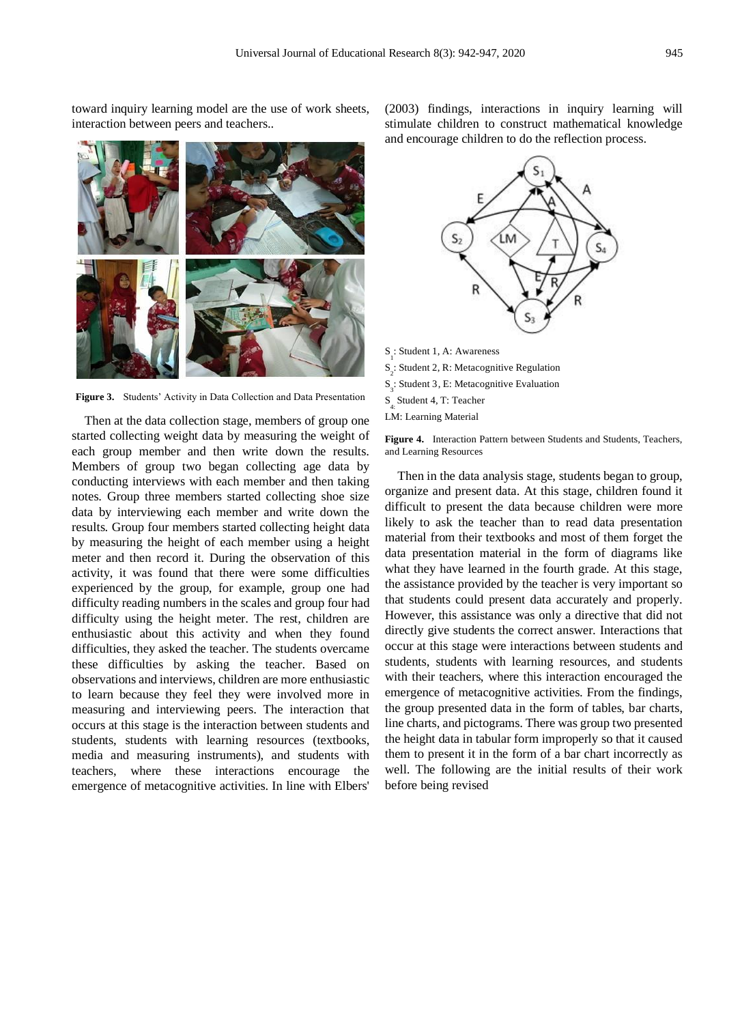toward inquiry learning model are the use of work sheets, interaction between peers and teachers..

**Figure 3.** Students' Activity in Data Collection and Data Presentation

Then at the data collection stage, members of group one started collecting weight data by measuring the weight of each group member and then write down the results. Members of group two began collecting age data by conducting interviews with each member and then taking notes. Group three members started collecting shoe size data by interviewing each member and write down the results. Group four members started collecting height data by measuring the height of each member using a height meter and then record it. During the observation of this activity, it was found that there were some difficulties experienced by the group, for example, group one had difficulty reading numbers in the scales and group four had difficulty using the height meter. The rest, children are enthusiastic about this activity and when they found difficulties, they asked the teacher. The students overcame these difficulties by asking the teacher. Based on observations and interviews, children are more enthusiastic to learn because they feel they were involved more in measuring and interviewing peers. The interaction that occurs at this stage is the interaction between students and students, students with learning resources (textbooks, media and measuring instruments), and students with teachers, where these interactions encourage the emergence of metacognitive activities. In line with Elbers'

(2003) findings, interactions in inquiry learning will stimulate children to construct mathematical knowledge and encourage children to do the reflection process.



S : Student 1, A: Awareness  $S_2^1$ : Student 2, R: Metacognitive Regulation S 3 : Student 3, E: Metacognitive Evaluation S 4: Student 4, T: Teacher LM: Learning Material

**Figure 4.** Interaction Pattern between Students and Students, Teachers, and Learning Resources

Then in the data analysis stage, students began to group, organize and present data. At this stage, children found it difficult to present the data because children were more likely to ask the teacher than to read data presentation material from their textbooks and most of them forget the data presentation material in the form of diagrams like what they have learned in the fourth grade. At this stage, the assistance provided by the teacher is very important so that students could present data accurately and properly. However, this assistance was only a directive that did not directly give students the correct answer. Interactions that occur at this stage were interactions between students and students, students with learning resources, and students with their teachers, where this interaction encouraged the emergence of metacognitive activities. From the findings, the group presented data in the form of tables, bar charts, line charts, and pictograms. There was group two presented the height data in tabular form improperly so that it caused them to present it in the form of a bar chart incorrectly as well. The following are the initial results of their work before being revised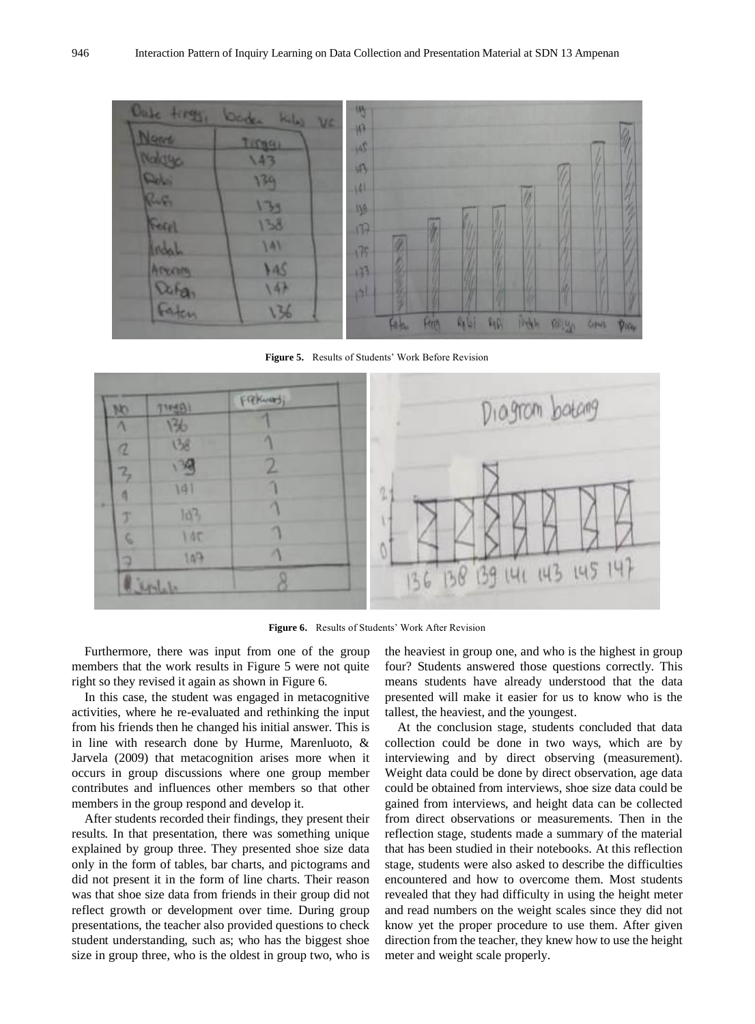

**Figure 5.** Results of Students' Work Before Revision



**Figure 6.** Results of Students' Work After Revision

Furthermore, there was input from one of the group members that the work results in Figure 5 were not quite right so they revised it again as shown in Figure 6.

In this case, the student was engaged in metacognitive activities, where he re-evaluated and rethinking the input from his friends then he changed his initial answer. This is in line with research done by Hurme, Marenluoto, & Jarvela (2009) that metacognition arises more when it occurs in group discussions where one group member contributes and influences other members so that other members in the group respond and develop it.

After students recorded their findings, they present their results. In that presentation, there was something unique explained by group three. They presented shoe size data only in the form of tables, bar charts, and pictograms and did not present it in the form of line charts. Their reason was that shoe size data from friends in their group did not reflect growth or development over time. During group presentations, the teacher also provided questions to check student understanding, such as; who has the biggest shoe size in group three, who is the oldest in group two, who is

the heaviest in group one, and who is the highest in group four? Students answered those questions correctly. This means students have already understood that the data presented will make it easier for us to know who is the tallest, the heaviest, and the youngest.

At the conclusion stage, students concluded that data collection could be done in two ways, which are by interviewing and by direct observing (measurement). Weight data could be done by direct observation, age data could be obtained from interviews, shoe size data could be gained from interviews, and height data can be collected from direct observations or measurements. Then in the reflection stage, students made a summary of the material that has been studied in their notebooks. At this reflection stage, students were also asked to describe the difficulties encountered and how to overcome them. Most students revealed that they had difficulty in using the height meter and read numbers on the weight scales since they did not know yet the proper procedure to use them. After given direction from the teacher, they knew how to use the height meter and weight scale properly.